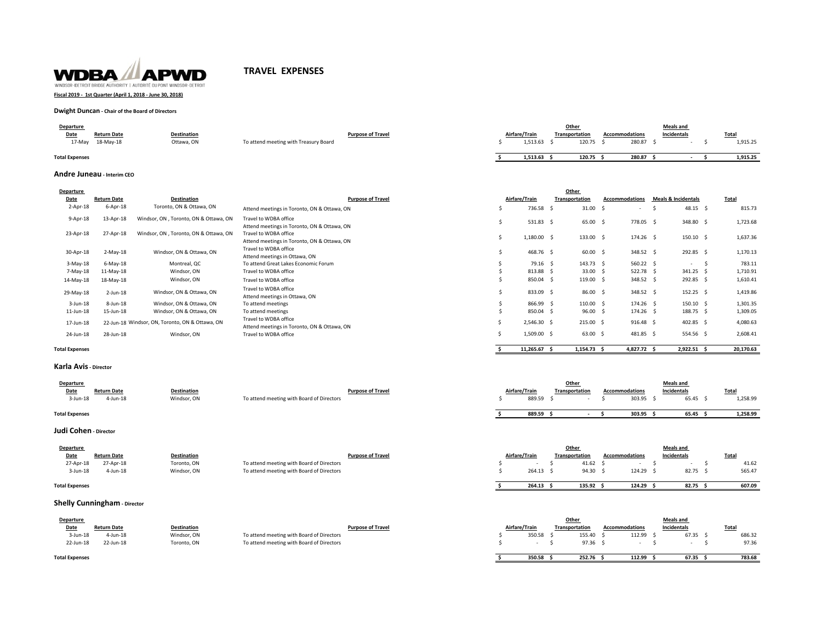

# **TRAVEL EXPENSES**

## **Fiscal 2019 - 1st Quarter (April 1, 2018 - June 30, 2018)**

### **Dwight Duncan - Chair of the Board of Directors**

| Departure             |                    |                    |                                       |               | Other          |        |                       | <b>Meals and</b> |          |
|-----------------------|--------------------|--------------------|---------------------------------------|---------------|----------------|--------|-----------------------|------------------|----------|
| Date                  | <b>Return Date</b> | <b>Destination</b> | <b>Purpose of Travel</b>              | Airfare/Trair | Transportation |        | <b>Accommodations</b> | Incidentals      | Total    |
| 17-Mav                | 18-May-18          | Ottawa, ON         | To attend meeting with Treasury Board | 1.513.63      |                | 120.75 | 280.87                |                  | 1,915.25 |
| <b>Total Expenses</b> |                    |                    |                                       | 1,513.63      |                | 120.75 | 280.87                |                  | 1,915.25 |

### **Andre Juneau - Interim CEO**

| Airfare/Train<br>736.58 \$ | Transportation | $31.00$ \$                                                                                                                          | <b>Accommodations</b><br>$\overline{\phantom{a}}$                                                                                           | <b>Meals &amp; Incidentals</b> |                                                                                                                                  | <b>Total</b> |                                                                                                                                     |
|----------------------------|----------------|-------------------------------------------------------------------------------------------------------------------------------------|---------------------------------------------------------------------------------------------------------------------------------------------|--------------------------------|----------------------------------------------------------------------------------------------------------------------------------|--------------|-------------------------------------------------------------------------------------------------------------------------------------|
|                            |                |                                                                                                                                     |                                                                                                                                             |                                |                                                                                                                                  |              |                                                                                                                                     |
|                            |                |                                                                                                                                     |                                                                                                                                             |                                | $48.15$ \$                                                                                                                       |              | 815.73                                                                                                                              |
| 531.83 \$                  |                | 65.00 \$                                                                                                                            | 778.05 \$                                                                                                                                   |                                | 348.80 \$                                                                                                                        |              | 1,723.68                                                                                                                            |
|                            |                |                                                                                                                                     |                                                                                                                                             |                                |                                                                                                                                  |              | 1,637.36                                                                                                                            |
|                            |                |                                                                                                                                     |                                                                                                                                             |                                |                                                                                                                                  |              | 1,170.13                                                                                                                            |
|                            |                |                                                                                                                                     |                                                                                                                                             |                                | $ -$                                                                                                                             |              | 783.11                                                                                                                              |
|                            |                |                                                                                                                                     |                                                                                                                                             |                                |                                                                                                                                  |              | 1,710.91                                                                                                                            |
|                            |                |                                                                                                                                     |                                                                                                                                             |                                |                                                                                                                                  |              | 1,610.41                                                                                                                            |
|                            |                |                                                                                                                                     |                                                                                                                                             |                                |                                                                                                                                  |              | 1,419.86                                                                                                                            |
|                            |                |                                                                                                                                     |                                                                                                                                             |                                |                                                                                                                                  |              | 1,301.35                                                                                                                            |
|                            |                |                                                                                                                                     |                                                                                                                                             |                                |                                                                                                                                  |              | 1,309.05                                                                                                                            |
|                            |                |                                                                                                                                     |                                                                                                                                             |                                |                                                                                                                                  |              | 4,080.63                                                                                                                            |
|                            |                |                                                                                                                                     |                                                                                                                                             |                                |                                                                                                                                  |              | 2,608.41                                                                                                                            |
|                            |                | 1,180.00 \$<br>468.76 \$<br>79.16 \$<br>813.88 \$<br>850.04 \$<br>833.09 \$<br>866.99 \$<br>850.04 \$<br>2,546.30 \$<br>1,509.00 \$ | 133.00 \$<br>$60.00$ \$<br>143.73 \$<br>33.00 \$<br>119.00 \$<br>86.00 \$<br>110.00 \$<br>$96.00$ \$<br>$215.00 \quad $$<br>$63.00\quad$ \$ |                                | 174.26 \$<br>348.52 \$<br>560.22 \$<br>522.78 \$<br>348.52 \$<br>348.52 \$<br>174.26 \$<br>$174.26$ \$<br>916.48 \$<br>481.85 \$ |              | $150.10 \quad$ \$<br>292.85 \$<br>341.25 \$<br>292.85 \$<br>$152.25$ \$<br>$150.10 \quad$ \$<br>188.75 \$<br>402.85 \$<br>554.56 \$ |

**Total Expenses**

### **Karla Avis - Director**

| Departure<br>Date     | <b>Return Date</b> | <b>Destination</b> |                                           | <b>Purpose of Travel</b> | Airfare/Train |        | Othe<br>Transportation | <b>Accommodations</b> | <b>Meals</b> and<br>Incidentals | <b>Total</b> |
|-----------------------|--------------------|--------------------|-------------------------------------------|--------------------------|---------------|--------|------------------------|-----------------------|---------------------------------|--------------|
| 3-Jun-18              | 4-Jun-18           | Windsor, ON        | To attend meeting with Board of Directors |                          |               | 889.59 |                        | 303.95                | 65.45                           | 1,258.99     |
| <b>Total Expenses</b> |                    |                    |                                           |                          |               | 889.59 |                        | 303.95                | 65.45                           | 1,258.99     |

**\$ 11,265.67 \$ 1,154.73 \$ 4,827.72 \$ 2,922.51 \$ 20,170.63**

**\$ 264.13 \$ 135.92 \$ 124.29 \$ 82.75 \$ 607.09**

**Judi Cohen - Director**

| Departure |                    |                    |                                           |               | Other          |                | <b>Meals and</b> |              |
|-----------|--------------------|--------------------|-------------------------------------------|---------------|----------------|----------------|------------------|--------------|
| Date      | <b>Return Date</b> | <b>Destination</b> | <b>Purpose of Travel</b>                  | Airfare/Trair | Transportation | Accommodations | Incidentals      | <b>Total</b> |
| 27-Apr-18 | 27-Apr-18          | Toronto, ON        | To attend meeting with Board of Directors |               | 41.62          |                |                  | 41.62        |
| 3-Jun-18  | $4$ -Jun-18        | Windsor, ON        | To attend meeting with Board of Directors | 264.13        | 94.30          | 124.29         | 82.75            | 565.47       |
|           |                    |                    |                                           |               |                |                |                  |              |

#### **Total Expenses**

## **Shelly Cunningham** - Director

| Departure             |                    |                    |                                           |               | Other                 |                       | <b>Meals and</b> |        |
|-----------------------|--------------------|--------------------|-------------------------------------------|---------------|-----------------------|-----------------------|------------------|--------|
| Date                  | <b>Return Date</b> | <b>Destination</b> | <b>Purpose of Travel</b>                  | Airfare/Train | <b>Transportation</b> | <b>Accommodations</b> | Incidentals      | Total  |
| 3-Jun-18              | 4-Jun-18           | Windsor, ON        | To attend meeting with Board of Directors | 350.58        | 155.40                | 112.99                | 67.35            | 686.32 |
| 22-Jun-18             | 22-Jun-18          | Toronto, ON        | To attend meeting with Board of Directors |               | 97.36                 |                       |                  | 97.36  |
|                       |                    |                    |                                           |               |                       |                       |                  |        |
| <b>Total Expenses</b> |                    |                    |                                           | 350.58 5      | 252.76                | 112.99                | 67.35            | 783.68 |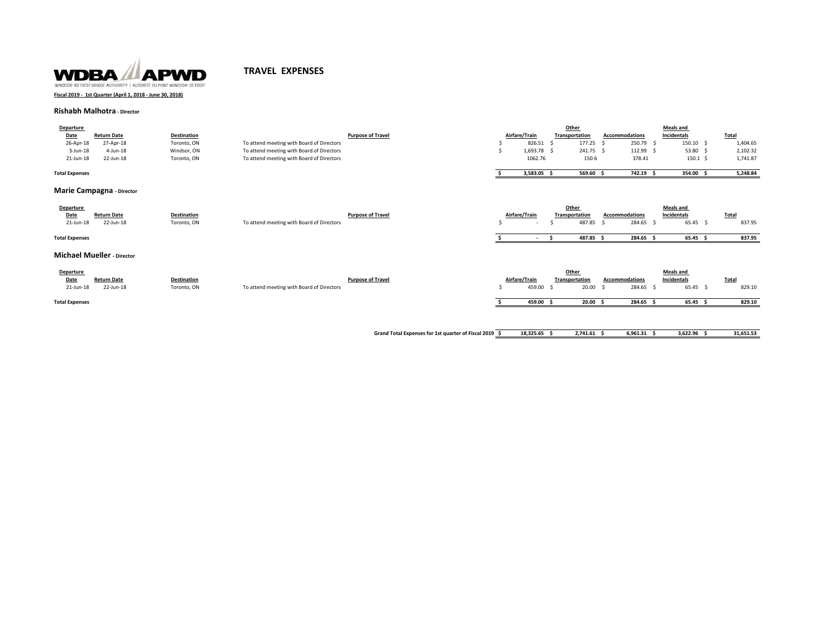

# **TRAVEL EXPENSES**

**Fiscal 2019 - 1st Quarter (April 1, 2018 - June 30, 2018)**

# **Rishabh Malhotra - Director**

| <b>Departure</b>      |                    |                    |                                           |               | Other          |                       | <b>Meals and</b> |              |
|-----------------------|--------------------|--------------------|-------------------------------------------|---------------|----------------|-----------------------|------------------|--------------|
| Date                  | <b>Return Date</b> | <b>Destination</b> | <b>Purpose of Travel</b>                  | Airfare/Train | Transportation | <b>Accommodations</b> | Incidentals      | <b>Total</b> |
| 26-Apr-18             | 27-Apr-18          | Toronto, ON        | To attend meeting with Board of Directors | 826.51        | 177.25         | 250.79                | 150.10           | 1,404.65     |
| $3$ -Jun-18           | 4-Jun-18           | Windsor, ON        | To attend meeting with Board of Directors | 1.693.78 \$   | 241.75         | 112.99                | 53.80            | 2,102.32     |
| 21-Jun-18             | 22-Jun-18          | Toronto, ON        | To attend meeting with Board of Directors | 1062.76       | 150.6          | 378.41                | 150.1            | 1,741.87     |
|                       |                    |                    |                                           |               |                |                       |                  |              |
| <b>Total Expenses</b> |                    |                    |                                           | 3.583.05      | 569.60         | 742.19                | 354.00           | 5.248.84     |
|                       |                    |                    |                                           |               |                |                       |                  |              |

## **Marie Campagna - Director**

| Departure             |                                   |                    |                                           |                          |               |        | Other          |     |                       | <b>Meals and</b> |              |
|-----------------------|-----------------------------------|--------------------|-------------------------------------------|--------------------------|---------------|--------|----------------|-----|-----------------------|------------------|--------------|
| Date                  | <b>Return Date</b>                | <b>Destination</b> |                                           | <b>Purpose of Travel</b> | Airfare/Train |        | Transportation |     | <b>Accommodations</b> | Incidentals      | <b>Total</b> |
| 21-Jun-18             | 22-Jun-18                         | Toronto, ON        | To attend meeting with Board of Directors |                          |               | $\sim$ | 487.85 \$      |     | 284.65 \$             | $65.45\quad$     | 837.95       |
| <b>Total Expenses</b> |                                   |                    |                                           |                          |               |        | 487.85 \$      |     | 284.65                | 65.45            | 837.95       |
|                       | <b>Michael Mueller</b> - Director |                    |                                           |                          |               |        |                |     |                       |                  |              |
| Departure             |                                   |                    |                                           |                          |               |        | Other          |     |                       | <b>Meals and</b> |              |
| Date                  | <b>Return Date</b>                | <b>Destination</b> |                                           | <b>Purpose of Travel</b> | Airfare/Train |        | Transportation |     | <b>Accommodations</b> | Incidentals      | <b>Total</b> |
| 21-Jun-18             | 22-Jun-18                         | Toronto, ON        | To attend meeting with Board of Directors |                          | 459.00        |        | 20.00<br>- S   | . S | 284.65 \$             | $65.45$ \$       | 829.10       |
| <b>Total Expenses</b> |                                   |                    |                                           |                          | 459.00        |        | 20.00%         |     | 284.65                | $65.45$ \$       | 829.10       |
|                       |                                   |                    |                                           |                          |               |        |                |     |                       |                  |              |
|                       |                                   |                    |                                           |                          |               |        |                |     |                       |                  |              |

**Grand Total Expenses for 1st quarter of Fiscal 2019 \$ 18,325.65 \$ 2,741.61 \$ 6,961.31 \$ 3,622.96 \$ 31,651.53**